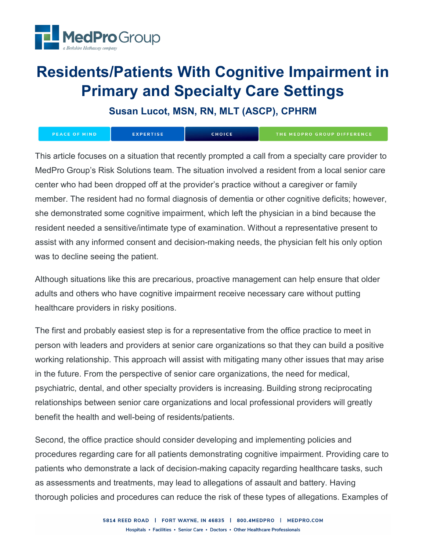

# **Residents/Patients With Cognitive Impairment in Primary and Specialty Care Settings**

**Susan Lucot, MSN, RN, MLT (ASCP), CPHRM**

| PEACE OF MIND | <b>EXPERTISE</b> | <b>CHOICE</b> | THE MEDPRO GROUP DIFFERENCE |
|---------------|------------------|---------------|-----------------------------|
|---------------|------------------|---------------|-----------------------------|

This article focuses on a situation that recently prompted a call from a specialty care provider to MedPro Group's Risk Solutions team. The situation involved a resident from a local senior care center who had been dropped off at the provider's practice without a caregiver or family member. The resident had no formal diagnosis of dementia or other cognitive deficits; however, she demonstrated some cognitive impairment, which left the physician in a bind because the resident needed a sensitive/intimate type of examination. Without a representative present to assist with any informed consent and decision-making needs, the physician felt his only option was to decline seeing the patient.

Although situations like this are precarious, proactive management can help ensure that older adults and others who have cognitive impairment receive necessary care without putting healthcare providers in risky positions.

The first and probably easiest step is for a representative from the office practice to meet in person with leaders and providers at senior care organizations so that they can build a positive working relationship. This approach will assist with mitigating many other issues that may arise in the future. From the perspective of senior care organizations, the need for medical, psychiatric, dental, and other specialty providers is increasing. Building strong reciprocating relationships between senior care organizations and local professional providers will greatly benefit the health and well-being of residents/patients.

Second, the office practice should consider developing and implementing policies and procedures regarding care for all patients demonstrating cognitive impairment. Providing care to patients who demonstrate a lack of decision-making capacity regarding healthcare tasks, such as assessments and treatments, may lead to allegations of assault and battery. Having thorough policies and procedures can reduce the risk of these types of allegations. Examples of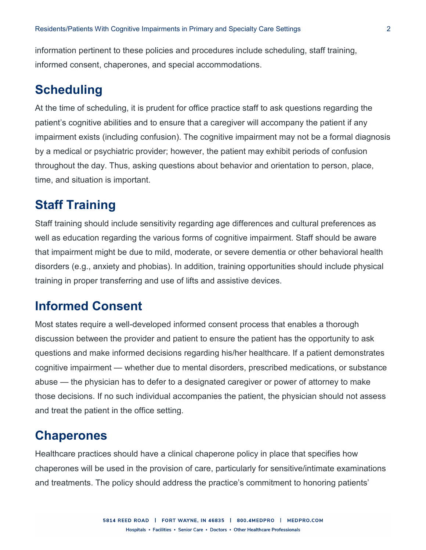information pertinent to these policies and procedures include scheduling, staff training, informed consent, chaperones, and special accommodations.

## **Scheduling**

At the time of scheduling, it is prudent for office practice staff to ask questions regarding the patient's cognitive abilities and to ensure that a caregiver will accompany the patient if any impairment exists (including confusion). The cognitive impairment may not be a formal diagnosis by a medical or psychiatric provider; however, the patient may exhibit periods of confusion throughout the day. Thus, asking questions about behavior and orientation to person, place, time, and situation is important.

## **Staff Training**

Staff training should include sensitivity regarding age differences and cultural preferences as well as education regarding the various forms of cognitive impairment. Staff should be aware that impairment might be due to mild, moderate, or severe dementia or other behavioral health disorders (e.g., anxiety and phobias). In addition, training opportunities should include physical training in proper transferring and use of lifts and assistive devices.

#### **Informed Consent**

Most states require a well-developed informed consent process that enables a thorough discussion between the provider and patient to ensure the patient has the opportunity to ask questions and make informed decisions regarding his/her healthcare. If a patient demonstrates cognitive impairment — whether due to mental disorders, prescribed medications, or substance abuse — the physician has to defer to a designated caregiver or power of attorney to make those decisions. If no such individual accompanies the patient, the physician should not assess and treat the patient in the office setting.

#### **Chaperones**

Healthcare practices should have a clinical chaperone policy in place that specifies how chaperones will be used in the provision of care, particularly for sensitive/intimate examinations and treatments. The policy should address the practice's commitment to honoring patients'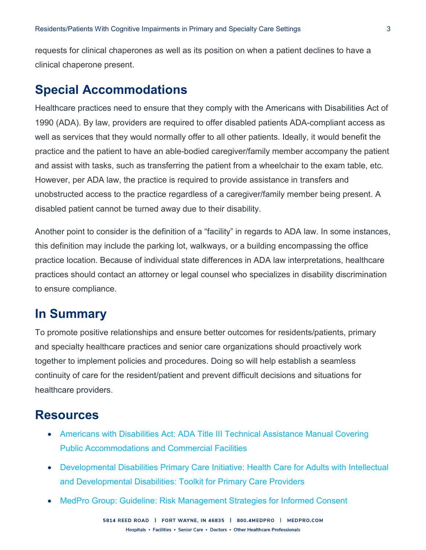requests for clinical chaperones as well as its position on when a patient declines to have a clinical chaperone present.

### **Special Accommodations**

Healthcare practices need to ensure that they comply with the Americans with Disabilities Act of 1990 (ADA). By law, providers are required to offer disabled patients ADA-compliant access as well as services that they would normally offer to all other patients. Ideally, it would benefit the practice and the patient to have an able-bodied caregiver/family member accompany the patient and assist with tasks, such as transferring the patient from a wheelchair to the exam table, etc. However, per ADA law, the practice is required to provide assistance in transfers and unobstructed access to the practice regardless of a caregiver/family member being present. A disabled patient cannot be turned away due to their disability.

Another point to consider is the definition of a "facility" in regards to ADA law. In some instances, this definition may include the parking lot, walkways, or a building encompassing the office practice location. Because of individual state differences in ADA law interpretations, healthcare practices should contact an attorney or legal counsel who specializes in disability discrimination to ensure compliance.

#### **In Summary**

To promote positive relationships and ensure better outcomes for residents/patients, primary and specialty healthcare practices and senior care organizations should proactively work together to implement policies and procedures. Doing so will help establish a seamless continuity of care for the resident/patient and prevent difficult decisions and situations for healthcare providers.

#### **Resources**

- [Americans with Disabilities Act: ADA Title III Technical Assistance Manual Covering](https://www.ada.gov/taman3.html)  [Public Accommodations and Commercial Facilities](https://www.ada.gov/taman3.html)
- [Developmental Disabilities Primary Care Initiative: Health Care for Adults with Intellectual](https://iddtoolkit.vkcsites.org/)  [and Developmental Disabilities: Toolkit for Primary Care Providers](https://iddtoolkit.vkcsites.org/)
- [MedPro Group: Guideline: Risk Management Strategies for Informed Consent](https://www.medpro.com/documents/10502/2837997/Guideline_Risk+Management+Strategies+for+Informed+Consent.pdf)